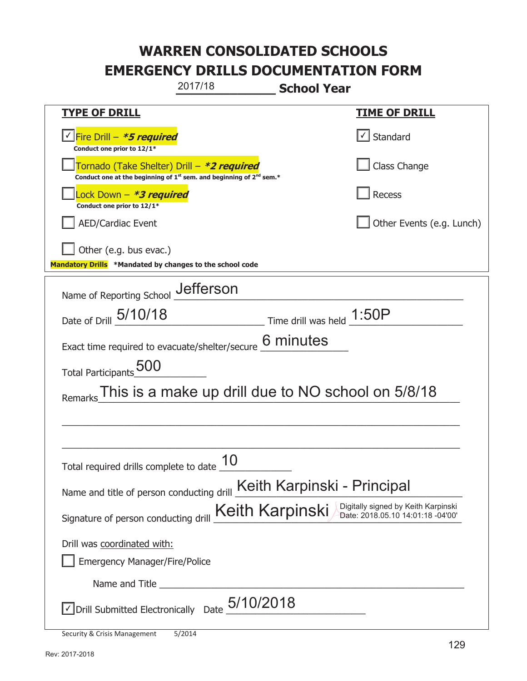|                                                                                                                                           | 2017/18                                            | <b>School Year</b>        |                                                                          |
|-------------------------------------------------------------------------------------------------------------------------------------------|----------------------------------------------------|---------------------------|--------------------------------------------------------------------------|
| <u>TYPE OF DRILL</u>                                                                                                                      |                                                    |                           | <b>TIME OF DRILL</b>                                                     |
| <u>√ Fire Drill – <b>*5 required</b></u><br>Conduct one prior to 12/1*                                                                    |                                                    |                           | Standard                                                                 |
| Tornado (Take Shelter) Drill – *2 required<br>Conduct one at the beginning of 1 <sup>st</sup> sem. and beginning of 2 <sup>nd</sup> sem.* |                                                    |                           | Class Change                                                             |
| Lock Down – <b>*<i>3 required</i></b><br>Conduct one prior to 12/1*                                                                       |                                                    |                           | <b>Recess</b>                                                            |
| <b>AED/Cardiac Event</b>                                                                                                                  |                                                    |                           | Other Events (e.g. Lunch)                                                |
| Other (e.g. bus evac.)<br>Mandatory Drills *Mandated by changes to the school code                                                        |                                                    |                           |                                                                          |
| Name of Reporting School _Jefferson                                                                                                       |                                                    |                           |                                                                          |
| Date of Drill 5/10/18                                                                                                                     |                                                    | Time drill was held 1:50P |                                                                          |
| Exact time required to evacuate/shelter/secure                                                                                            |                                                    | 6 minutes                 |                                                                          |
| Total Participants 500                                                                                                                    |                                                    |                           |                                                                          |
| Remarks                                                                                                                                   | This is a make up drill due to NO school on 5/8/18 |                           |                                                                          |
|                                                                                                                                           |                                                    |                           |                                                                          |
|                                                                                                                                           |                                                    |                           |                                                                          |
| Total required drills complete to date $\frac{10}{10}$                                                                                    |                                                    |                           |                                                                          |
| Name and title of person conducting drill Keith Karpinski - Principal                                                                     |                                                    |                           |                                                                          |
| Signature of person conducting drill                                                                                                      |                                                    | Keith Karpinski           | Digitally signed by Keith Karpinski<br>Date: 2018.05.10 14:01:18 -04'00' |
| Drill was coordinated with:                                                                                                               |                                                    |                           |                                                                          |
| <b>Emergency Manager/Fire/Police</b>                                                                                                      |                                                    |                           |                                                                          |
|                                                                                                                                           |                                                    |                           |                                                                          |
| Drill Submitted Electronically Date $5/10/2018$                                                                                           |                                                    |                           |                                                                          |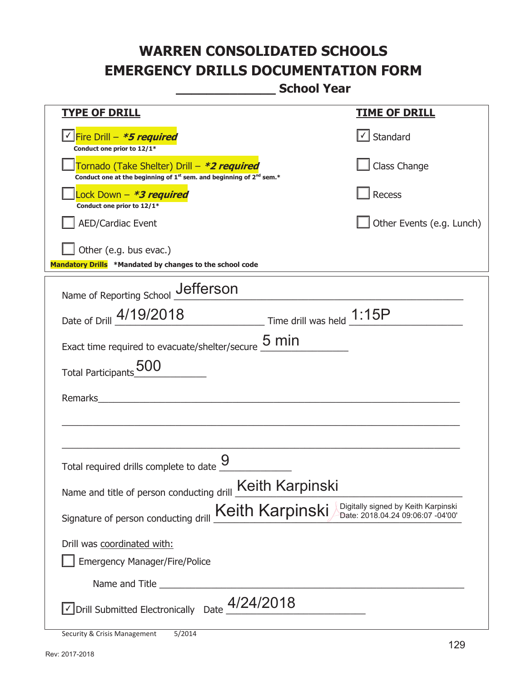**\_\_\_\_\_\_\_\_\_\_\_\_\_ School Year** 

| <u>TYPE OF DRILL</u>                                                                                                                      | <u>TIME OF DRILL</u>                |
|-------------------------------------------------------------------------------------------------------------------------------------------|-------------------------------------|
| <u>√ Fire Drill – <i>*5 required</i></u><br>Conduct one prior to 12/1*                                                                    | $\cup$ Standard                     |
| Tornado (Take Shelter) Drill – *2 required<br>Conduct one at the beginning of 1 <sup>st</sup> sem. and beginning of 2 <sup>nd</sup> sem.* | Class Change                        |
| Lock Down - *3 required<br>Conduct one prior to 12/1*                                                                                     | <b>Recess</b>                       |
| <b>AED/Cardiac Event</b>                                                                                                                  | Other Events (e.g. Lunch)           |
| Other (e.g. bus evac.)<br>Mandatory Drills *Mandated by changes to the school code                                                        |                                     |
| Name of Reporting School Jefferson                                                                                                        |                                     |
| Date of Drill 4/19/2018 Time drill was held 1:15P                                                                                         |                                     |
| Exact time required to evacuate/shelter/secure $\frac{5}{2}$ min                                                                          |                                     |
| <b>Total Participants</b>                                                                                                                 |                                     |
| Remarks                                                                                                                                   |                                     |
|                                                                                                                                           |                                     |
| Total required drills complete to date                                                                                                    |                                     |
|                                                                                                                                           |                                     |
| Name and title of person conducting drill <b>Keith Karpinski</b>                                                                          | Digitally signed by Keith Karpinski |
| Keith Karpinski<br>Signature of person conducting drill                                                                                   | Date: 2018.04.24 09:06:07 -04'00'   |
| Drill was coordinated with:                                                                                                               |                                     |
| <b>Emergency Manager/Fire/Police</b>                                                                                                      |                                     |
| Name and Title                                                                                                                            |                                     |
| $\vee$ Drill Submitted Electronically Date $4/24/2018$                                                                                    |                                     |

Security & Crisis Management 5/2014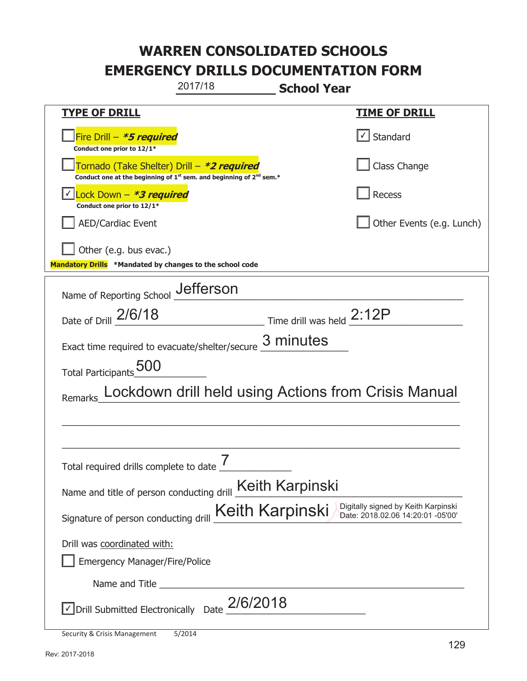|                                                                                    | 2017/18                                                                                                                     | <b>School Year</b>                                                                                 |
|------------------------------------------------------------------------------------|-----------------------------------------------------------------------------------------------------------------------------|----------------------------------------------------------------------------------------------------|
| <u>TYPE OF DRILL</u>                                                               |                                                                                                                             | <b>TIME OF DRILL</b>                                                                               |
| Fire Drill - *5 required<br>Conduct one prior to 12/1*                             |                                                                                                                             | Standard                                                                                           |
|                                                                                    | Tornado (Take Shelter) Drill – *2 required<br>Conduct one at the beginning of $1^{st}$ sem. and beginning of $2^{nd}$ sem.* | Class Change                                                                                       |
| Lock Down - <b>*3 required</b><br>Conduct one prior to 12/1*                       |                                                                                                                             | <b>Recess</b>                                                                                      |
| <b>AED/Cardiac Event</b>                                                           |                                                                                                                             | Other Events (e.g. Lunch)                                                                          |
| Other (e.g. bus evac.)<br>Mandatory Drills *Mandated by changes to the school code |                                                                                                                             |                                                                                                    |
|                                                                                    | Jefferson                                                                                                                   |                                                                                                    |
| Name of Reporting School<br>Date of Drill 2/6/18                                   |                                                                                                                             | Time drill was held 2:12P                                                                          |
| Exact time required to evacuate/shelter/secure                                     |                                                                                                                             | 3 minutes                                                                                          |
| Total Participants 500                                                             |                                                                                                                             |                                                                                                    |
|                                                                                    |                                                                                                                             | Lockdown drill held using Actions from Crisis Manual                                               |
|                                                                                    |                                                                                                                             |                                                                                                    |
|                                                                                    |                                                                                                                             |                                                                                                    |
| Total required drills complete to date $\frac{7}{4}$                               |                                                                                                                             |                                                                                                    |
| Name and title of person conducting drill <b>Keith Karpinski</b>                   |                                                                                                                             |                                                                                                    |
| Signature of person conducting drill                                               |                                                                                                                             | Digitally signed by Keith Karpinski<br><b>Keith Karpinski</b><br>Date: 2018.02.06 14:20:01 -05'00' |
| Drill was coordinated with:                                                        |                                                                                                                             |                                                                                                    |
| <b>Emergency Manager/Fire/Police</b>                                               |                                                                                                                             |                                                                                                    |
| Name and Title __________                                                          |                                                                                                                             |                                                                                                    |
| $\le$ Drill Submitted Electronically Date $_2$ /6/2018                             |                                                                                                                             |                                                                                                    |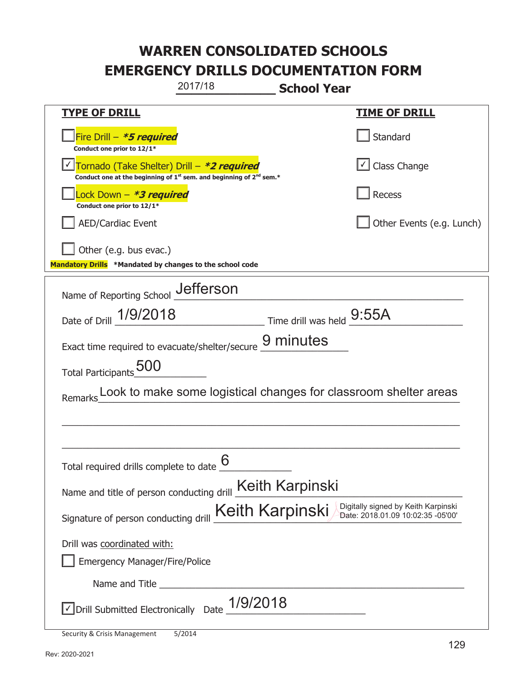| 2017/18                                                                                                                     | <b>School Year</b>                                                                          |
|-----------------------------------------------------------------------------------------------------------------------------|---------------------------------------------------------------------------------------------|
| <b>TYPE OF DRILL</b>                                                                                                        | <u>TIME OF DRILL</u>                                                                        |
| Fire Drill - *5 required<br>Conduct one prior to 12/1*                                                                      | Standard                                                                                    |
| Tornado (Take Shelter) Drill – *2 required<br>Conduct one at the beginning of $1^{st}$ sem. and beginning of $2^{nd}$ sem.* | Class Change                                                                                |
| ock Down – <b>*3 required</b><br>Conduct one prior to 12/1*                                                                 | Recess                                                                                      |
| <b>AED/Cardiac Event</b>                                                                                                    | Other Events (e.g. Lunch)                                                                   |
| Other (e.g. bus evac.)<br>Mandatory Drills *Mandated by changes to the school code                                          |                                                                                             |
| Name of Reporting School _Jefferson                                                                                         |                                                                                             |
| Date of Drill 1/9/2018                                                                                                      | Time drill was held $9:55A$                                                                 |
| Exact time required to evacuate/shelter/secure _                                                                            | 9 minutes                                                                                   |
| Total Participants 500                                                                                                      |                                                                                             |
| Remarks                                                                                                                     | Look to make some logistical changes for classroom shelter areas                            |
|                                                                                                                             |                                                                                             |
|                                                                                                                             |                                                                                             |
| Total required drills complete to date $\frac{6}{5}$                                                                        |                                                                                             |
| Name and title of person conducting drill <b>Keith Karpinski</b>                                                            |                                                                                             |
| Signature of person conducting drill                                                                                        | Digitally signed by Keith Karpinski<br>Keith Karpinski<br>Date: 2018.01.09 10:02:35 -05'00' |
| Drill was coordinated with:<br><b>Emergency Manager/Fire/Police</b>                                                         |                                                                                             |
|                                                                                                                             |                                                                                             |
| 1/9/2018<br>√ Drill Submitted Electronically Date                                                                           |                                                                                             |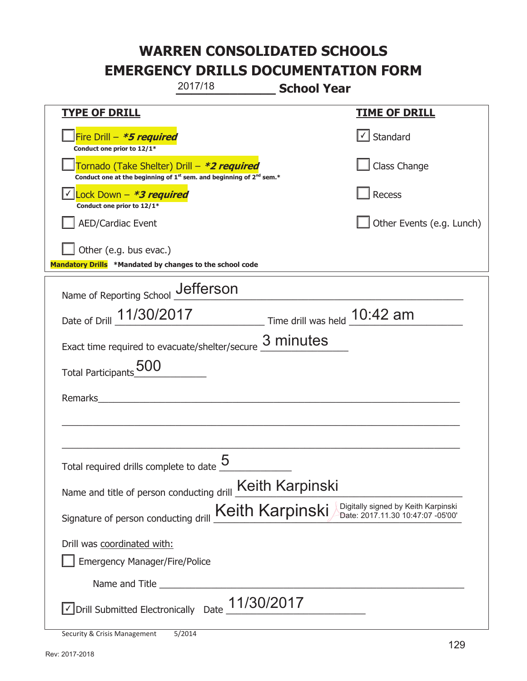|                                                                                    | 2017/18                                                                                     | <b>School Year</b>           |                                                                          |
|------------------------------------------------------------------------------------|---------------------------------------------------------------------------------------------|------------------------------|--------------------------------------------------------------------------|
| <u>TYPE OF DRILL</u>                                                               |                                                                                             |                              | <b>TIME OF DRILL</b>                                                     |
| Fire Drill - <b>*5 required</b><br>Conduct one prior to 12/1*                      |                                                                                             |                              | $\cup$ Standard                                                          |
| Tornado (Take Shelter) Drill – *2 required                                         | Conduct one at the beginning of 1 <sup>st</sup> sem. and beginning of 2 <sup>nd</sup> sem.* |                              | Class Change                                                             |
| Lock Down - *3 required<br>Conduct one prior to 12/1*                              |                                                                                             |                              | <b>Recess</b>                                                            |
| <b>AED/Cardiac Event</b>                                                           |                                                                                             |                              | Other Events (e.g. Lunch)                                                |
| Other (e.g. bus evac.)<br>Mandatory Drills *Mandated by changes to the school code |                                                                                             |                              |                                                                          |
| Name of Reporting School Jefferson                                                 |                                                                                             |                              |                                                                          |
| Date of Drill 11/30/2017                                                           |                                                                                             | Time drill was held 10:42 am |                                                                          |
| Exact time required to evacuate/shelter/secure                                     |                                                                                             | 3 minutes                    |                                                                          |
| <b>Total Participants</b>                                                          |                                                                                             |                              |                                                                          |
| Remarks                                                                            |                                                                                             |                              |                                                                          |
|                                                                                    |                                                                                             |                              |                                                                          |
| Total required drills complete to date $\underline{\mathcal{5}}$                   |                                                                                             |                              |                                                                          |
| Name and title of person conducting drill Keith Karpinski                          |                                                                                             |                              |                                                                          |
| Signature of person conducting drill                                               | <b>Keith Karpinski</b>                                                                      |                              | Digitally signed by Keith Karpinski<br>Date: 2017.11.30 10:47:07 -05'00' |
| Drill was coordinated with:                                                        |                                                                                             |                              |                                                                          |
| <b>Emergency Manager/Fire/Police</b>                                               |                                                                                             |                              |                                                                          |
|                                                                                    |                                                                                             |                              |                                                                          |
| $\sqrt{\phantom{a}}$ Drill Submitted Electronically Date $\_11/30/2017$            |                                                                                             |                              |                                                                          |
| Security & Crisis Management                                                       | 5/2014                                                                                      |                              |                                                                          |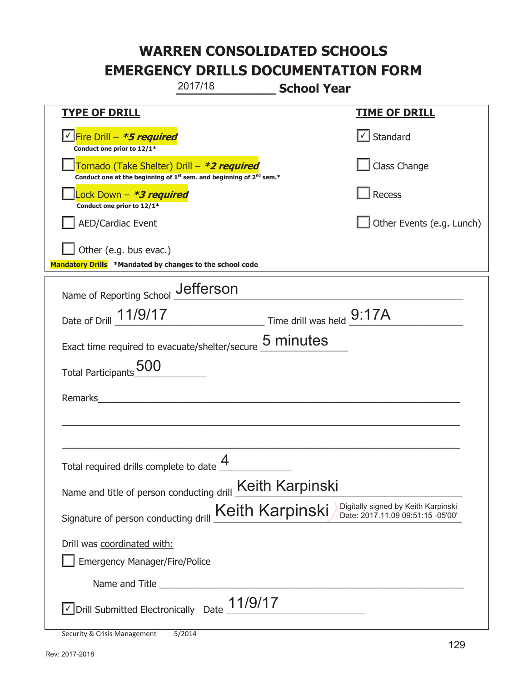|                                                                                    | 2017/18                                                                                     | <b>School Year</b>          |                                                                          |
|------------------------------------------------------------------------------------|---------------------------------------------------------------------------------------------|-----------------------------|--------------------------------------------------------------------------|
| <b>TYPE OF DRILL</b>                                                               |                                                                                             |                             | <b>TIME OF DRILL</b>                                                     |
| <u>√ Fire Drill – <i>*5 required</i></u><br>Conduct one prior to 12/1*             |                                                                                             |                             | $\lfloor \angle \rfloor$ Standard                                        |
| Tornado (Take Shelter) Drill – *2 required                                         | Conduct one at the beginning of 1 <sup>st</sup> sem. and beginning of 2 <sup>nd</sup> sem.* |                             | Class Change                                                             |
| Lock Down - <b>*3 required</b><br>Conduct one prior to 12/1*                       |                                                                                             |                             | <b>Recess</b>                                                            |
| <b>AED/Cardiac Event</b>                                                           |                                                                                             |                             | Other Events (e.g. Lunch)                                                |
| Other (e.g. bus evac.)<br>Mandatory Drills *Mandated by changes to the school code |                                                                                             |                             |                                                                          |
| Name of Reporting School _Jefferson                                                |                                                                                             |                             |                                                                          |
| Date of Drill 11/9/17                                                              |                                                                                             | Time drill was held $9:17A$ |                                                                          |
| Exact time required to evacuate/shelter/secure 5 minutes                           |                                                                                             |                             |                                                                          |
| <b>Total Participants</b>                                                          |                                                                                             |                             |                                                                          |
| Remarks                                                                            |                                                                                             |                             |                                                                          |
|                                                                                    |                                                                                             |                             |                                                                          |
| Total required drills complete to date $\frac{\displaystyle 4}{}$                  |                                                                                             |                             |                                                                          |
| Name and title of person conducting drill Keith Karpinski                          |                                                                                             |                             |                                                                          |
| Signature of person conducting drill                                               | Keith Karpinski                                                                             |                             | Digitally signed by Keith Karpinski<br>Date: 2017.11.09 09:51:15 -05'00' |
| Drill was coordinated with:                                                        |                                                                                             |                             |                                                                          |
| <b>Emergency Manager/Fire/Police</b>                                               |                                                                                             |                             |                                                                          |
|                                                                                    |                                                                                             |                             |                                                                          |
| $\sqrt{\phantom{a}}$ Drill Submitted Electronically Date $\_$ 1/9/17               |                                                                                             |                             |                                                                          |
| Security & Crisis Management                                                       | 5/2014                                                                                      |                             |                                                                          |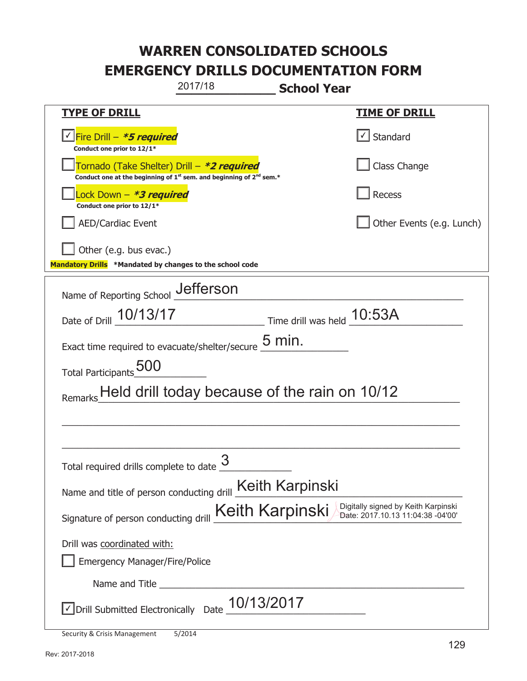|                                                                                    | 2017/18                                                                 | <b>School Year</b>         |                                                                          |
|------------------------------------------------------------------------------------|-------------------------------------------------------------------------|----------------------------|--------------------------------------------------------------------------|
| <u>TYPE OF DRILL</u>                                                               |                                                                         |                            | <b>TIME OF DRILL</b>                                                     |
| <u>√ Fire Drill – *5 required</u><br>Conduct one prior to 12/1*                    |                                                                         |                            | Standard                                                                 |
| Tornado (Take Shelter) Drill – *2 required                                         | Conduct one at the beginning of $1st$ sem. and beginning of $2nd$ sem.* |                            | Class Change                                                             |
| Lock Down - <b>*3 required</b><br>Conduct one prior to 12/1*                       |                                                                         |                            | <b>Recess</b>                                                            |
| <b>AED/Cardiac Event</b>                                                           |                                                                         |                            | Other Events (e.g. Lunch)                                                |
| Other (e.g. bus evac.)<br>Mandatory Drills *Mandated by changes to the school code |                                                                         |                            |                                                                          |
| Name of Reporting School _Jefferson                                                |                                                                         |                            |                                                                          |
| Date of Drill 10/13/17                                                             |                                                                         | Time drill was held 10:53A |                                                                          |
| Exact time required to evacuate/shelter/secure $\frac{5 \text{ min}}{2}$ .         |                                                                         |                            |                                                                          |
| Total Participants 500                                                             |                                                                         |                            |                                                                          |
|                                                                                    | Held drill today because of the rain on 10/12                           |                            |                                                                          |
|                                                                                    |                                                                         |                            |                                                                          |
|                                                                                    |                                                                         |                            |                                                                          |
| Total required drills complete to date                                             | 3                                                                       |                            |                                                                          |
| Name and title of person conducting drill <b>Keith Karpinski</b>                   |                                                                         |                            |                                                                          |
| Signature of person conducting drill                                               |                                                                         | Keith Karpinski            | Digitally signed by Keith Karpinski<br>Date: 2017.10.13 11:04:38 -04'00' |
| Drill was coordinated with:                                                        |                                                                         |                            |                                                                          |
| <b>Emergency Manager/Fire/Police</b>                                               |                                                                         |                            |                                                                          |
|                                                                                    |                                                                         |                            |                                                                          |
| Drill Submitted Electronically                                                     | 10/13/2017<br>Date                                                      |                            |                                                                          |

Security & Crisis Management 5/2014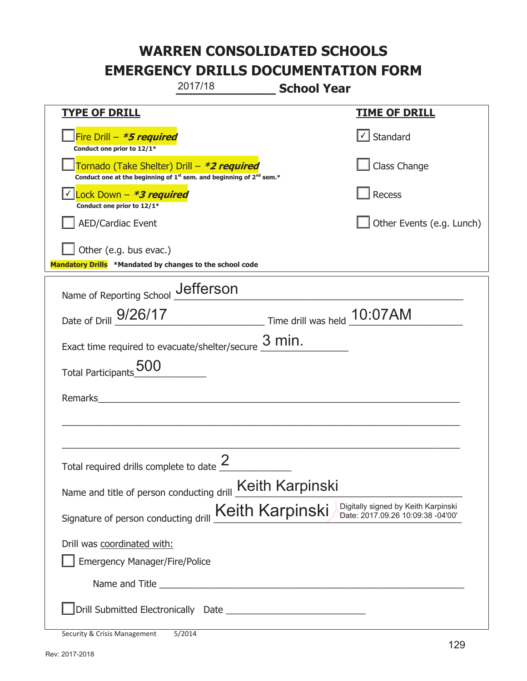|                                                                                    | 2017/18                                                                                     | <b>School Year</b>          |                                                                          |
|------------------------------------------------------------------------------------|---------------------------------------------------------------------------------------------|-----------------------------|--------------------------------------------------------------------------|
| <b>TYPE OF DRILL</b>                                                               |                                                                                             |                             | <u>TIME OF DRILL</u>                                                     |
| Fire Drill - *5 required<br>Conduct one prior to 12/1*                             |                                                                                             |                             | √ Standard                                                               |
| Tornado (Take Shelter) Drill – *2 required                                         | Conduct one at the beginning of 1 <sup>st</sup> sem. and beginning of 2 <sup>nd</sup> sem.* |                             | Class Change                                                             |
| Lock Down – <b>*<i>3 required</i></b><br>Conduct one prior to 12/1*                |                                                                                             |                             | Recess                                                                   |
| <b>AED/Cardiac Event</b>                                                           |                                                                                             |                             | Other Events (e.g. Lunch)                                                |
| Other (e.g. bus evac.)<br>Mandatory Drills *Mandated by changes to the school code |                                                                                             |                             |                                                                          |
|                                                                                    |                                                                                             |                             |                                                                          |
| Name of Reporting School _Jefferson                                                |                                                                                             |                             |                                                                          |
| Date of Drill 9/26/17                                                              |                                                                                             | Time drill was held 10:07AM |                                                                          |
| Exact time required to evacuate/shelter/secure                                     |                                                                                             | $3$ min.                    |                                                                          |
| <b>Total Participants</b>                                                          |                                                                                             |                             |                                                                          |
| Remarks                                                                            |                                                                                             |                             |                                                                          |
|                                                                                    |                                                                                             |                             |                                                                          |
|                                                                                    |                                                                                             |                             |                                                                          |
| Total required drills complete to date $\frac{2}{3}$                               |                                                                                             |                             |                                                                          |
| Name and title of person conducting drill Keith Karpinski                          |                                                                                             |                             |                                                                          |
| Signature of person conducting drill                                               | Keith Karpinski                                                                             |                             | Digitally signed by Keith Karpinski<br>Date: 2017.09.26 10:09:38 -04'00' |
| Drill was coordinated with:                                                        |                                                                                             |                             |                                                                          |
| <b>Emergency Manager/Fire/Police</b>                                               |                                                                                             |                             |                                                                          |
|                                                                                    |                                                                                             |                             |                                                                          |
|                                                                                    |                                                                                             |                             |                                                                          |